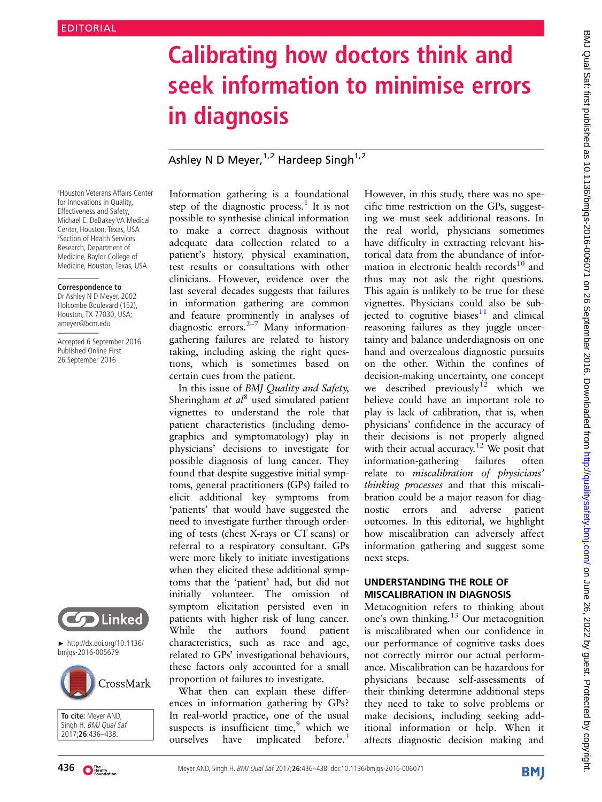# Calibrating how doctors think and seek information to minimise errors in diagnosis

## Ashley N D Meyer,  $1,2$  Hardeep Singh $1,2$

1 Houston Veterans Affairs Center for Innovations in Quality, Effectiveness and Safety, Michael E. DeBakey VA Medical Center, Houston, Texas, USA 2 Section of Health Services Research, Department of Medicine, Baylor College of Medicine, Houston, Texas, USA

#### **Correspondence to**

Dr Ashley N D Meyer, 2002 Holcombe Boulevard (152), Houston, TX 77030, USA; ameyer@bcm.edu

Accepted 6 September 2016 Published Online First 26 September 2016



► http://dx.doi.org/10.1136/ bmjqs-2016-005679



**To cite:** Meyer AND, Singh H. BMJ Qual Saf 2017;**26**:436–438.

Information gathering is a foundational step of the diagnostic process.<sup>[1](#page-2-0)</sup> It is not possible to synthesise clinical information to make a correct diagnosis without adequate data collection related to a patient's history, physical examination, test results or consultations with other clinicians. However, evidence over the last several decades suggests that failures in information gathering are common and feature prominently in analyses of diagnostic errors. $2-7$  $2-7$  Many informationgathering failures are related to history taking, including asking the right questions, which is sometimes based on certain cues from the patient.

In this issue of BMJ Quality and Safety, Sheringham et  $al<sup>8</sup>$  $al<sup>8</sup>$  $al<sup>8</sup>$  used simulated patient vignettes to understand the role that patient characteristics (including demographics and symptomatology) play in physicians' decisions to investigate for possible diagnosis of lung cancer. They found that despite suggestive initial symptoms, general practitioners (GPs) failed to elicit additional key symptoms from 'patients' that would have suggested the need to investigate further through ordering of tests (chest X-rays or CT scans) or referral to a respiratory consultant. GPs were more likely to initiate investigations when they elicited these additional symptoms that the 'patient' had, but did not initially volunteer. The omission of symptom elicitation persisted even in patients with higher risk of lung cancer. While the authors found patient characteristics, such as race and age, related to GPs' investigational behaviours, these factors only accounted for a small proportion of failures to investigate.

What then can explain these differences in information gathering by GPs? In real-world practice, one of the usual suspects is insufficient time, $9$  which we ourselves have implicated before.<sup>[3](#page-2-0)</sup>

However, in this study, there was no specific time restriction on the GPs, suggesting we must seek additional reasons. In the real world, physicians sometimes have difficulty in extracting relevant historical data from the abundance of information in electronic health records $10$  and thus may not ask the right questions. This again is unlikely to be true for these vignettes. Physicians could also be subjected to cognitive biases $11$  and clinical reasoning failures as they juggle uncertainty and balance underdiagnosis on one hand and overzealous diagnostic pursuits on the other. Within the confines of decision-making uncertainty, one concept we described previously<sup>12</sup> which we believe could have an important role to play is lack of calibration, that is, when physicians' confidence in the accuracy of their decisions is not properly aligned with their actual accuracy.<sup>[12](#page-2-0)</sup> We posit that information-gathering failures often relate to miscalibration of physicians' thinking processes and that this miscalibration could be a major reason for diagnostic errors and adverse patient outcomes. In this editorial, we highlight how miscalibration can adversely affect information gathering and suggest some next steps.

#### UNDERSTANDING THE ROLE OF MISCALIBRATION IN DIAGNOSIS

Metacognition refers to thinking about one's own thinking.<sup>[13](#page-2-0)</sup> Our metacognition is miscalibrated when our confidence in our performance of cognitive tasks does not correctly mirror our actual performance. Miscalibration can be hazardous for physicians because self-assessments of their thinking determine additional steps they need to take to solve problems or make decisions, including seeking additional information or help. When it affects diagnostic decision making and

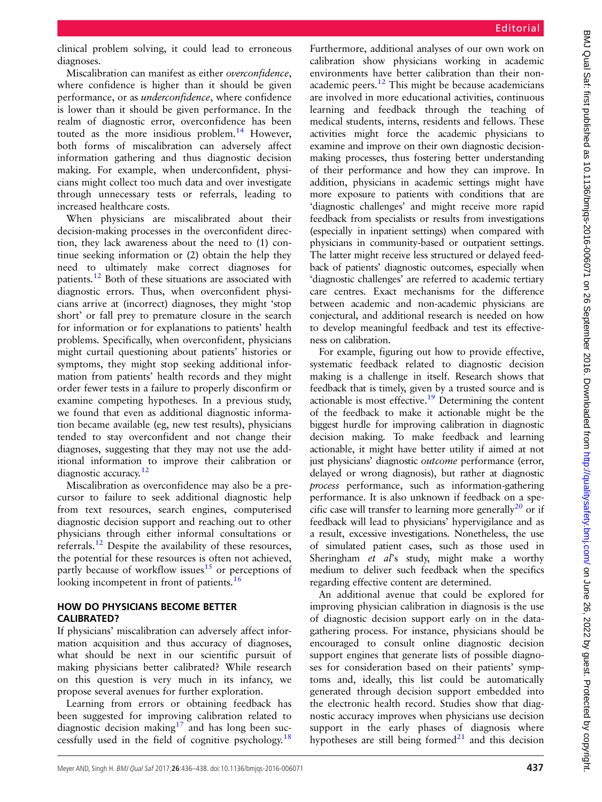clinical problem solving, it could lead to erroneous diagnoses.

Miscalibration can manifest as either overconfidence, where confidence is higher than it should be given performance, or as underconfidence, where confidence is lower than it should be given performance. In the realm of diagnostic error, overconfidence has been touted as the more insidious problem.<sup>[14](#page-2-0)</sup> However, both forms of miscalibration can adversely affect information gathering and thus diagnostic decision making. For example, when underconfident, physicians might collect too much data and over investigate through unnecessary tests or referrals, leading to increased healthcare costs.

When physicians are miscalibrated about their decision-making processes in the overconfident direction, they lack awareness about the need to (1) continue seeking information or (2) obtain the help they need to ultimately make correct diagnoses for patients.[12](#page-2-0) Both of these situations are associated with diagnostic errors. Thus, when overconfident physicians arrive at (incorrect) diagnoses, they might 'stop short' or fall prey to premature closure in the search for information or for explanations to patients' health problems. Specifically, when overconfident, physicians might curtail questioning about patients' histories or symptoms, they might stop seeking additional information from patients' health records and they might order fewer tests in a failure to properly disconfirm or examine competing hypotheses. In a previous study, we found that even as additional diagnostic information became available (eg, new test results), physicians tended to stay overconfident and not change their diagnoses, suggesting that they may not use the additional information to improve their calibration or diagnostic accuracy.<sup>[12](#page-2-0)</sup>

Miscalibration as overconfidence may also be a precursor to failure to seek additional diagnostic help from text resources, search engines, computerised diagnostic decision support and reaching out to other physicians through either informal consultations or referrals[.12](#page-2-0) Despite the availability of these resources, the potential for these resources is often not achieved, partly because of workflow issues<sup>15</sup> or perceptions of looking incompetent in front of patients.<sup>[16](#page-2-0)</sup>

### HOW DO PHYSICIANS BECOME BETTER CALIBRATED?

If physicians' miscalibration can adversely affect information acquisition and thus accuracy of diagnoses, what should be next in our scientific pursuit of making physicians better calibrated? While research on this question is very much in its infancy, we propose several avenues for further exploration.

Learning from errors or obtaining feedback has been suggested for improving calibration related to diagnostic decision making $17$  and has long been successfully used in the field of cognitive psychology.<sup>18</sup>

Furthermore, additional analyses of our own work on calibration show physicians working in academic environments have better calibration than their nonacademic peers. $12$  This might be because academicians are involved in more educational activities, continuous learning and feedback through the teaching of medical students, interns, residents and fellows. These activities might force the academic physicians to examine and improve on their own diagnostic decisionmaking processes, thus fostering better understanding of their performance and how they can improve. In addition, physicians in academic settings might have more exposure to patients with conditions that are 'diagnostic challenges' and might receive more rapid feedback from specialists or results from investigations (especially in inpatient settings) when compared with physicians in community-based or outpatient settings. The latter might receive less structured or delayed feedback of patients' diagnostic outcomes, especially when 'diagnostic challenges' are referred to academic tertiary care centres. Exact mechanisms for the difference between academic and non-academic physicians are conjectural, and additional research is needed on how to develop meaningful feedback and test its effectiveness on calibration.

For example, figuring out how to provide effective, systematic feedback related to diagnostic decision making is a challenge in itself. Research shows that feedback that is timely, given by a trusted source and is actionable is most effective.<sup>[19](#page-2-0)</sup> Determining the content of the feedback to make it actionable might be the biggest hurdle for improving calibration in diagnostic decision making. To make feedback and learning actionable, it might have better utility if aimed at not just physicians' diagnostic *outcome* performance (error, delayed or wrong diagnosis), but rather at diagnostic process performance, such as information-gathering performance. It is also unknown if feedback on a specific case will transfer to learning more generally<sup>20</sup> or if feedback will lead to physicians' hypervigilance and as a result, excessive investigations. Nonetheless, the use of simulated patient cases, such as those used in Sheringham et al's study, might make a worthy medium to deliver such feedback when the specifics regarding effective content are determined.

An additional avenue that could be explored for improving physician calibration in diagnosis is the use of diagnostic decision support early on in the datagathering process. For instance, physicians should be encouraged to consult online diagnostic decision support engines that generate lists of possible diagnoses for consideration based on their patients' symptoms and, ideally, this list could be automatically generated through decision support embedded into the electronic health record. Studies show that diagnostic accuracy improves when physicians use decision support in the early phases of diagnosis where hypotheses are still being formed $2<sup>1</sup>$  and this decision